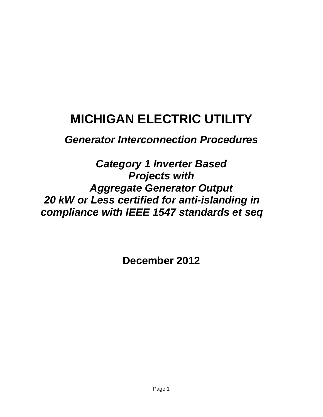# **MICHIGAN ELECTRIC UTILITY**

*Generator Interconnection Procedures*

*Category 1 Inverter Based Projects with Aggregate Generator Output 20 kW or Less certified for anti-islanding in compliance with IEEE 1547 standards et seq*

**December 2012**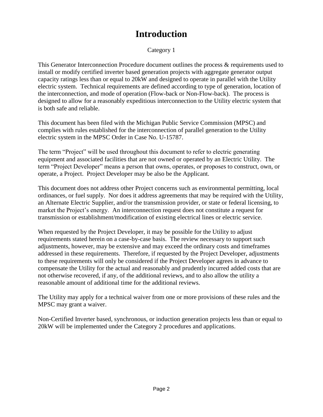## **Introduction**

Category 1

This Generator Interconnection Procedure document outlines the process & requirements used to install or modify certified inverter based generation projects with aggregate generator output capacity ratings less than or equal to 20kW and designed to operate in parallel with the Utility electric system. Technical requirements are defined according to type of generation, location of the interconnection, and mode of operation (Flow-back or Non-Flow-back). The process is designed to allow for a reasonably expeditious interconnection to the Utility electric system that is both safe and reliable.

This document has been filed with the Michigan Public Service Commission (MPSC) and complies with rules established for the interconnection of parallel generation to the Utility electric system in the MPSC Order in Case No. U-15787.

The term "Project" will be used throughout this document to refer to electric generating equipment and associated facilities that are not owned or operated by an Electric Utility. The term "Project Developer" means a person that owns, operates, or proposes to construct, own, or operate, a Project. Project Developer may be also be the Applicant.

This document does not address other Project concerns such as environmental permitting, local ordinances, or fuel supply. Nor does it address agreements that may be required with the Utility, an Alternate Electric Supplier, and/or the transmission provider, or state or federal licensing, to market the Project's energy. An interconnection request does not constitute a request for transmission or establishment/modification of existing electrical lines or electric service.

When requested by the Project Developer, it may be possible for the Utility to adjust requirements stated herein on a case-by-case basis. The review necessary to support such adjustments, however, may be extensive and may exceed the ordinary costs and timeframes addressed in these requirements. Therefore, if requested by the Project Developer, adjustments to these requirements will only be considered if the Project Developer agrees in advance to compensate the Utility for the actual and reasonably and prudently incurred added costs that are not otherwise recovered, if any, of the additional reviews, and to also allow the utility a reasonable amount of additional time for the additional reviews.

The Utility may apply for a technical waiver from one or more provisions of these rules and the MPSC may grant a waiver.

Non-Certified Inverter based, synchronous, or induction generation projects less than or equal to 20kW will be implemented under the Category 2 procedures and applications.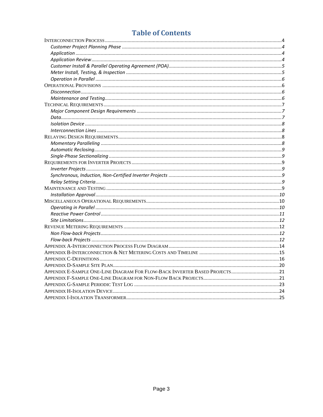### **Table of Contents**

| APPENDIX E-SAMPLE ONE-LINE DIAGRAM FOR FLOW-BACK INVERTER BASED PROJECTS21 |  |
|----------------------------------------------------------------------------|--|
|                                                                            |  |
|                                                                            |  |
|                                                                            |  |
|                                                                            |  |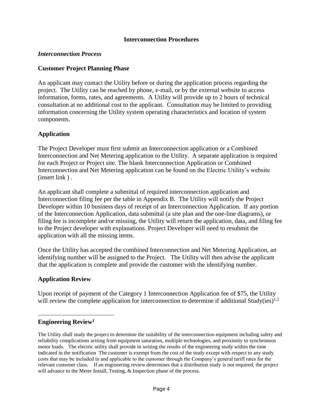#### **Interconnection Procedures**

#### <span id="page-3-0"></span>*Interconnection Process*

#### <span id="page-3-1"></span>**Customer Project Planning Phase**

An applicant may contact the Utility before or during the application process regarding the project. The Utility can be reached by phone, e-mail, or by the external website to access information, forms, rates, and agreements. A Utility will provide up to 2 hours of technical consultation at no additional cost to the applicant. Consultation may be limited to providing information concerning the Utility system operating characteristics and location of system components.

#### <span id="page-3-2"></span>**Application**

The Project Developer must first submit an Interconnection application or a Combined Interconnection and Net Metering application to the Utility. A separate application is required for each Project or Project site. The blank Interconnection Application or Combined Interconnection and Net Metering application can be found on the Electric Utility's website (insert link ) .

An applicant shall complete a submittal of required interconnection application and Interconnection filing fee per the table in Appendix B. The Utility will notify the Project Developer within 10 business days of receipt of an Interconnection Application. If any portion of the Interconnection Application, data submittal (a site plan and the one-line diagrams), or filing fee is incomplete and/or missing, the Utility will return the application, data, and filing fee to the Project developer with explanations. Project Developer will need to resubmit the application with all the missing items.

Once the Utility has accepted the combined Interconnection and Net Metering Application, an identifying number will be assigned to the Project. The Utility will then advise the applicant that the application is complete and provide the customer with the identifying number.

#### <span id="page-3-3"></span>**Application Review**

Upon receipt of payment of the Category 1 Interconnection Application fee of \$75, the Utility will review the complete application for interconnection to determine if additional Study(ies)<sup>1,2</sup>

#### **Engineering Review<sup>1</sup>**

 $\overline{a}$ 

The Utility shall study the project to determine the suitability of the interconnection equipment including safety and reliability complications arising from equipment saturation, multiple technologies, and proximity to synchronous motor loads. The electric utility shall provide in writing the results of the engineering study within the time indicated in the notification The customer is exempt from the cost of the study except with respect to any study costs that may be included in and applicable to the customer through the Company's general tariff rates for the relevant customer class. If an engineering review determines that a distribution study is not required, the project will advance to the Meter Install, Testing, & Inspection phase of the process.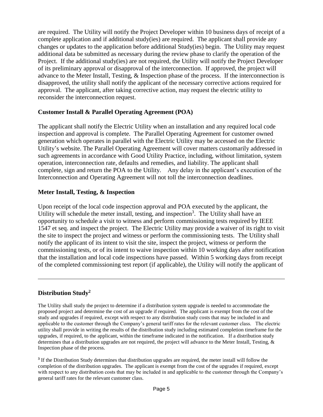are required. The Utility will notify the Project Developer within 10 business days of receipt of a complete application and if additional study(ies) are required. The applicant shall provide any changes or updates to the application before additional Study(ies) begin. The Utility may request additional data be submitted as necessary during the review phase to clarify the operation of the Project. If the additional study(ies) are not required, the Utility will notify the Project Developer of its preliminary approval or disapproval of the interconnection. If approved, the project will advance to the Meter Install, Testing, & Inspection phase of the process. If the interconnection is disapproved, the utility shall notify the applicant of the necessary corrective actions required for approval. The applicant, after taking corrective action, may request the electric utility to reconsider the interconnection request.

#### <span id="page-4-0"></span>**Customer Install & Parallel Operating Agreement (POA)**

The applicant shall notify the Electric Utility when an installation and any required local code inspection and approval is complete. The Parallel Operating Agreement for customer owned generation which operates in parallel with the Electric Utility may be accessed on the Electric Utility's website. The Parallel Operating Agreement will cover matters customarily addressed in such agreements in accordance with Good Utility Practice, including, without limitation, system operation, interconnection rate, defaults and remedies, and liability. The applicant shall complete, sign and return the POA to the Utility. Any delay in the applicant's execution of the Interconnection and Operating Agreement will not toll the interconnection deadlines.

#### <span id="page-4-1"></span>**Meter Install, Testing, & Inspection**

Upon receipt of the local code inspection approval and POA executed by the applicant, the Utility will schedule the meter install, testing, and inspection<sup>3</sup>. The Utility shall have an opportunity to schedule a visit to witness and perform commissioning tests required by IEEE 1547 et seq. and inspect the project. The Electric Utility may provide a waiver of its right to visit the site to inspect the project and witness or perform the commissioning tests. The Utility shall notify the applicant of its intent to visit the site, inspect the project, witness or perform the commissioning tests, or of its intent to waive inspection within 10 working days after notification that the installation and local code inspections have passed. Within 5 working days from receipt of the completed commissioning test report (if applicable), the Utility will notify the applicant of

#### **Distribution Study<sup>2</sup>**

 $\overline{a}$ 

The Utility shall study the project to determine if a distribution system upgrade is needed to accommodate the proposed project and determine the cost of an upgrade if required. The applicant is exempt from the cost of the study and upgrades if required, except with respect to any distribution study costs that may be included in and applicable to the customer through the Company's general tariff rates for the relevant customer class. The electric utility shall provide in writing the results of the distribution study including estimated completion timeframe for the upgrades, if required, to the applicant, within the timeframe indicated in the notification. If a distribution study determines that a distribution upgrades are not required, the project will advance to the Meter Install, Testing, & Inspection phase of the process.

**3** If the Distribution Study determines that distribution upgrades are required, the meter install will follow the completion of the distribution upgrades. The applicant is exempt from the cost of the upgrades if required, except with respect to any distribution costs that may be included in and applicable to the customer through the Company's general tariff rates for the relevant customer class.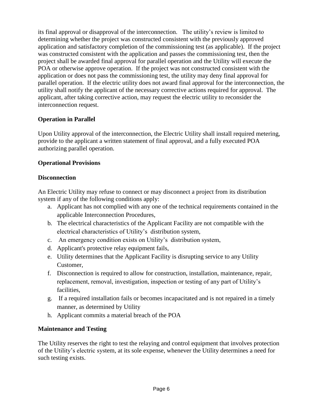its final approval or disapproval of the interconnection. The utility's review is limited to determining whether the project was constructed consistent with the previously approved application and satisfactory completion of the commissioning test (as applicable). If the project was constructed consistent with the application and passes the commissioning test, then the project shall be awarded final approval for parallel operation and the Utility will execute the POA or otherwise approve operation. If the project was not constructed consistent with the application or does not pass the commissioning test, the utility may deny final approval for parallel operation. If the electric utility does not award final approval for the interconnection, the utility shall notify the applicant of the necessary corrective actions required for approval. The applicant, after taking corrective action, may request the electric utility to reconsider the interconnection request.

#### <span id="page-5-0"></span>**Operation in Parallel**

Upon Utility approval of the interconnection, the Electric Utility shall install required metering, provide to the applicant a written statement of final approval, and a fully executed POA authorizing parallel operation.

#### <span id="page-5-1"></span>**Operational Provisions**

#### <span id="page-5-2"></span>**Disconnection**

An Electric Utility may refuse to connect or may disconnect a project from its distribution system if any of the following conditions apply:

- a. Applicant has not complied with any one of the technical requirements contained in the applicable Interconnection Procedures,
- b. The electrical characteristics of the Applicant Facility are not compatible with the electrical characteristics of Utility's distribution system,
- c. An emergency condition exists on Utility's distribution system,
- d. Applicant's protective relay equipment fails,
- e. Utility determines that the Applicant Facility is disrupting service to any Utility Customer,
- f. Disconnection is required to allow for construction, installation, maintenance, repair, replacement, removal, investigation, inspection or testing of any part of Utility's facilities,
- g. If a required installation fails or becomes incapacitated and is not repaired in a timely manner, as determined by Utility
- h. Applicant commits a material breach of the POA

#### <span id="page-5-3"></span>**Maintenance and Testing**

The Utility reserves the right to test the relaying and control equipment that involves protection of the Utility's electric system, at its sole expense, whenever the Utility determines a need for such testing exists.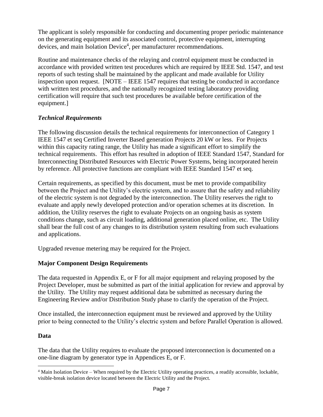The applicant is solely responsible for conducting and documenting proper periodic maintenance on the generating equipment and its associated control, protective equipment, interrupting devices, and main Isolation Device<sup>4</sup>, per manufacturer recommendations.

Routine and maintenance checks of the relaying and control equipment must be conducted in accordance with provided written test procedures which are required by IEEE Std. 1547, and test reports of such testing shall be maintained by the applicant and made available for Utility inspection upon request. [NOTE – IEEE 1547 requires that testing be conducted in accordance with written test procedures, and the nationally recognized testing laboratory providing certification will require that such test procedures be available before certification of the equipment.]

#### <span id="page-6-0"></span>*Technical Requirements*

The following discussion details the technical requirements for interconnection of Category 1 IEEE 1547 et seq Certified Inverter Based generation Projects 20 kW or less. For Projects within this capacity rating range, the Utility has made a significant effort to simplify the technical requirements. This effort has resulted in adoption of IEEE Standard 1547, Standard for Interconnecting Distributed Resources with Electric Power Systems, being incorporated herein by reference. All protective functions are compliant with IEEE Standard 1547 et seq.

Certain requirements, as specified by this document, must be met to provide compatibility between the Project and the Utility's electric system, and to assure that the safety and reliability of the electric system is not degraded by the interconnection. The Utility reserves the right to evaluate and apply newly developed protection and/or operation schemes at its discretion. In addition, the Utility reserves the right to evaluate Projects on an ongoing basis as system conditions change, such as circuit loading, additional generation placed online, etc. The Utility shall bear the full cost of any changes to its distribution system resulting from such evaluations and applications.

Upgraded revenue metering may be required for the Project.

#### <span id="page-6-1"></span>**Major Component Design Requirements**

The data requested in Appendix E, or F for all major equipment and relaying proposed by the Project Developer, must be submitted as part of the initial application for review and approval by the Utility. The Utility may request additional data be submitted as necessary during the Engineering Review and/or Distribution Study phase to clarify the operation of the Project.

Once installed, the interconnection equipment must be reviewed and approved by the Utility prior to being connected to the Utility's electric system and before Parallel Operation is allowed.

#### <span id="page-6-2"></span>**Data**

 $\overline{a}$ 

The data that the Utility requires to evaluate the proposed interconnection is documented on a one-line diagram by generator type in Appendices E, or F.

<sup>4</sup> Main Isolation Device – When required by the Electric Utility operating practices, a readily accessible, lockable, visible-break isolation device located between the Electric Utility and the Project.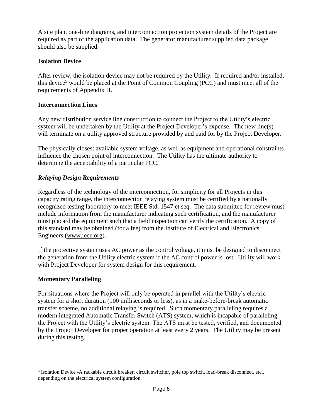A site plan, one-line diagrams, and interconnection protection system details of the Project are required as part of the application data. The generator manufacturer supplied data package should also be supplied.

#### <span id="page-7-0"></span>**Isolation Device**

After review, the isolation device may not be required by the Utility. If required and/or installed, this device<sup>5</sup> would be placed at the Point of Common Coupling (PCC) and must meet all of the requirements of Appendix H.

#### <span id="page-7-1"></span>**Interconnection Lines**

Any new distribution service line construction to connect the Project to the Utility's electric system will be undertaken by the Utility at the Project Developer's expense. The new line(s) will terminate on a utility approved structure provided by and paid for by the Project Developer.

The physically closest available system voltage, as well as equipment and operational constraints influence the chosen point of interconnection. The Utility has the ultimate authority to determine the acceptability of a particular PCC.

#### <span id="page-7-2"></span>*Relaying Design Requirements*

Regardless of the technology of the interconnection, for simplicity for all Projects in this capacity rating range, the interconnection relaying system must be certified by a nationally recognized testing laboratory to meet IEEE Std. 1547 et seq. The data submitted for review must include information from the manufacturer indicating such certification, and the manufacturer must placard the equipment such that a field inspection can verify the certification. A copy of this standard may be obtained (for a fee) from the Institute of Electrical and Electronics Engineers [\(www.ieee.org\)](http://www.ieee.org/).

If the protective system uses AC power as the control voltage, it must be designed to disconnect the generation from the Utility electric system if the AC control power is lost. Utility will work with Project Developer for system design for this requirement.

#### <span id="page-7-3"></span>**Momentary Paralleling**

For situations where the Project will only be operated in parallel with the Utility's electric system for a short duration (100 milliseconds or less), as in a make-before-break automatic transfer scheme, no additional relaying is required. Such momentary paralleling requires a modern integrated Automatic Transfer Switch (ATS) system, which is incapable of paralleling the Project with the Utility's electric system. The ATS must be tested, verified, and documented by the Project Developer for proper operation at least every 2 years. The Utility may be present during this testing.

 $\overline{a}$ <sup>5</sup> Isolation Device -A rackable circuit breaker, circuit switcher, pole top switch, load-break disconnect, etc., depending on the electrical system configuration.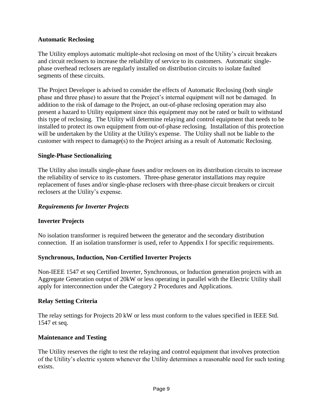#### <span id="page-8-0"></span>**Automatic Reclosing**

The Utility employs automatic multiple-shot reclosing on most of the Utility's circuit breakers and circuit reclosers to increase the reliability of service to its customers. Automatic singlephase overhead reclosers are regularly installed on distribution circuits to isolate faulted segments of these circuits.

The Project Developer is advised to consider the effects of Automatic Reclosing (both single phase and three phase) to assure that the Project's internal equipment will not be damaged. In addition to the risk of damage to the Project, an out-of-phase reclosing operation may also present a hazard to Utility equipment since this equipment may not be rated or built to withstand this type of reclosing. The Utility will determine relaying and control equipment that needs to be installed to protect its own equipment from out-of-phase reclosing. Installation of this protection will be undertaken by the Utility at the Utility's expense. The Utility shall not be liable to the customer with respect to damage(s) to the Project arising as a result of Automatic Reclosing.

#### <span id="page-8-1"></span>**Single-Phase Sectionalizing**

The Utility also installs single-phase fuses and/or reclosers on its distribution circuits to increase the reliability of service to its customers. Three-phase generator installations may require replacement of fuses and/or single-phase reclosers with three-phase circuit breakers or circuit reclosers at the Utility's expense.

#### <span id="page-8-2"></span>*Requirements for Inverter Projects*

#### <span id="page-8-3"></span>**Inverter Projects**

No isolation transformer is required between the generator and the secondary distribution connection. If an isolation transformer is used, refer to Appendix I for specific requirements.

#### <span id="page-8-4"></span>**Synchronous, Induction, Non-Certified Inverter Projects**

Non-IEEE 1547 et seq Certified Inverter, Synchronous, or Induction generation projects with an Aggregate Generation output of 20kW or less operating in parallel with the Electric Utility shall apply for interconnection under the Category 2 Procedures and Applications.

#### <span id="page-8-5"></span>**Relay Setting Criteria**

The relay settings for Projects 20 kW or less must conform to the values specified in IEEE Std. 1547 et seq.

#### <span id="page-8-6"></span>**Maintenance and Testing**

The Utility reserves the right to test the relaying and control equipment that involves protection of the Utility's electric system whenever the Utility determines a reasonable need for such testing exists.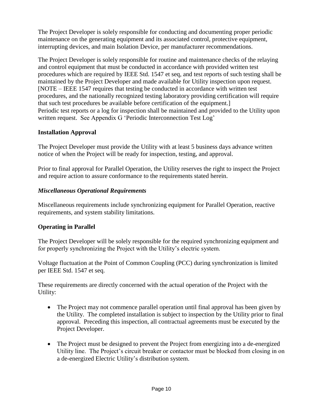The Project Developer is solely responsible for conducting and documenting proper periodic maintenance on the generating equipment and its associated control, protective equipment, interrupting devices, and main Isolation Device, per manufacturer recommendations.

The Project Developer is solely responsible for routine and maintenance checks of the relaying and control equipment that must be conducted in accordance with provided written test procedures which are required by IEEE Std. 1547 et seq, and test reports of such testing shall be maintained by the Project Developer and made available for Utility inspection upon request. [NOTE – IEEE 1547 requires that testing be conducted in accordance with written test procedures, and the nationally recognized testing laboratory providing certification will require that such test procedures be available before certification of the equipment.] Periodic test reports or a log for inspection shall be maintained and provided to the Utility upon written request. See Appendix G 'Periodic Interconnection Test Log'

#### <span id="page-9-0"></span>**Installation Approval**

The Project Developer must provide the Utility with at least 5 business days advance written notice of when the Project will be ready for inspection, testing, and approval.

Prior to final approval for Parallel Operation, the Utility reserves the right to inspect the Project and require action to assure conformance to the requirements stated herein.

#### <span id="page-9-1"></span>*Miscellaneous Operational Requirements*

Miscellaneous requirements include synchronizing equipment for Parallel Operation, reactive requirements, and system stability limitations.

#### <span id="page-9-2"></span>**Operating in Parallel**

The Project Developer will be solely responsible for the required synchronizing equipment and for properly synchronizing the Project with the Utility's electric system.

Voltage fluctuation at the Point of Common Coupling (PCC) during synchronization is limited per IEEE Std. 1547 et seq.

These requirements are directly concerned with the actual operation of the Project with the Utility:

- The Project may not commence parallel operation until final approval has been given by the Utility. The completed installation is subject to inspection by the Utility prior to final approval. Preceding this inspection, all contractual agreements must be executed by the Project Developer.
- The Project must be designed to prevent the Project from energizing into a de-energized Utility line. The Project's circuit breaker or contactor must be blocked from closing in on a de-energized Electric Utility's distribution system.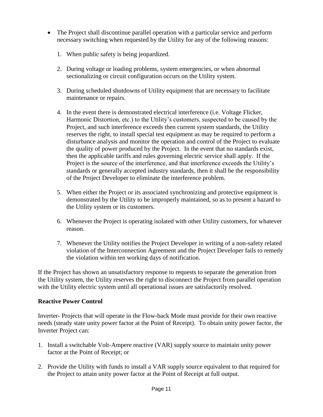- The Project shall discontinue parallel operation with a particular service and perform necessary switching when requested by the Utility for any of the following reasons:
	- 1. When public safety is being jeopardized.
	- 2. During voltage or loading problems, system emergencies, or when abnormal sectionalizing or circuit configuration occurs on the Utility system.
	- 3. During scheduled shutdowns of Utility equipment that are necessary to facilitate maintenance or repairs.
	- 4. In the event there is demonstrated electrical interference (i.e. Voltage Flicker, Harmonic Distortion, etc.) to the Utility's customers, suspected to be caused by the Project, and such interference exceeds then current system standards, the Utility reserves the right, to install special test equipment as may be required to perform a disturbance analysis and monitor the operation and control of the Project to evaluate the quality of power produced by the Project. In the event that no standards exist, then the applicable tariffs and rules governing electric service shall apply. If the Project is the source of the interference, and that interference exceeds the Utility's standards or generally accepted industry standards, then it shall be the responsibility of the Project Developer to eliminate the interference problem.
	- 5. When either the Project or its associated synchronizing and protective equipment is demonstrated by the Utility to be improperly maintained, so as to present a hazard to the Utility system or its customers.
	- 6. Whenever the Project is operating isolated with other Utility customers, for whatever reason.
	- 7. Whenever the Utility notifies the Project Developer in writing of a non-safety related violation of the Interconnection Agreement and the Project Developer fails to remedy the violation within ten working days of notification.

If the Project has shown an unsatisfactory response to requests to separate the generation from the Utility system, the Utility reserves the right to disconnect the Project from parallel operation with the Utility electric system until all operational issues are satisfactorily resolved.

#### <span id="page-10-0"></span>**Reactive Power Control**

Inverter- Projects that will operate in the Flow-back Mode must provide for their own reactive needs (steady state unity power factor at the Point of Receipt). To obtain unity power factor, the Inverter Project can:

- 1. Install a switchable Volt-Ampere reactive (VAR) supply source to maintain unity power factor at the Point of Receipt; or
- 2. Provide the Utility with funds to install a VAR supply source equivalent to that required for the Project to attain unity power factor at the Point of Receipt at full output.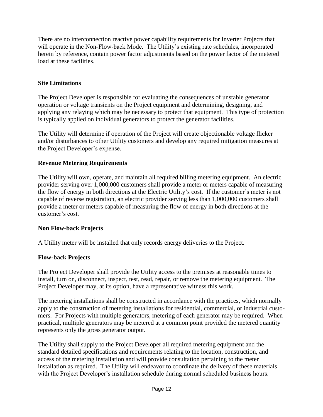There are no interconnection reactive power capability requirements for Inverter Projects that will operate in the Non-Flow-back Mode. The Utility's existing rate schedules, incorporated herein by reference, contain power factor adjustments based on the power factor of the metered load at these facilities.

#### <span id="page-11-0"></span>**Site Limitations**

The Project Developer is responsible for evaluating the consequences of unstable generator operation or voltage transients on the Project equipment and determining, designing, and applying any relaying which may be necessary to protect that equipment. This type of protection is typically applied on individual generators to protect the generator facilities.

The Utility will determine if operation of the Project will create objectionable voltage flicker and/or disturbances to other Utility customers and develop any required mitigation measures at the Project Developer's expense.

#### <span id="page-11-1"></span>**Revenue Metering Requirements**

The Utility will own, operate, and maintain all required billing metering equipment. An electric provider serving over 1,000,000 customers shall provide a meter or meters capable of measuring the flow of energy in both directions at the Electric Utility's cost. If the customer's meter is not capable of reverse registration, an electric provider serving less than 1,000,000 customers shall provide a meter or meters capable of measuring the flow of energy in both directions at the customer's cost.

#### <span id="page-11-2"></span>**Non Flow-back Projects**

A Utility meter will be installed that only records energy deliveries to the Project.

#### <span id="page-11-3"></span>**Flow-back Projects**

The Project Developer shall provide the Utility access to the premises at reasonable times to install, turn on, disconnect, inspect, test, read, repair, or remove the metering equipment. The Project Developer may, at its option, have a representative witness this work.

The metering installations shall be constructed in accordance with the practices, which normally apply to the construction of metering installations for residential, commercial, or industrial customers. For Projects with multiple generators, metering of each generator may be required. When practical, multiple generators may be metered at a common point provided the metered quantity represents only the gross generator output.

The Utility shall supply to the Project Developer all required metering equipment and the standard detailed specifications and requirements relating to the location, construction, and access of the metering installation and will provide consultation pertaining to the meter installation as required. The Utility will endeavor to coordinate the delivery of these materials with the Project Developer's installation schedule during normal scheduled business hours.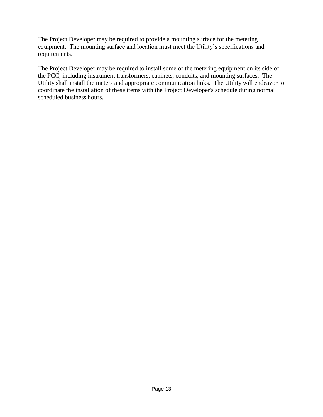The Project Developer may be required to provide a mounting surface for the metering equipment. The mounting surface and location must meet the Utility's specifications and requirements.

The Project Developer may be required to install some of the metering equipment on its side of the PCC, including instrument transformers, cabinets, conduits, and mounting surfaces. The Utility shall install the meters and appropriate communication links. The Utility will endeavor to coordinate the installation of these items with the Project Developer's schedule during normal scheduled business hours.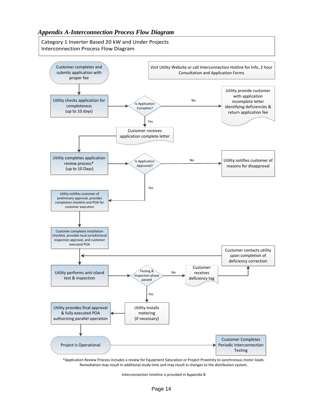<span id="page-13-0"></span>Category 1 Inverter Based 20 kW and Under Projects Interconnection Process Flow Diagram



\*Application Review Process includes a review for Equipment Saturation or Project Proximity to synchronous motor loads. Remediation may result in additional study time and may result in changes to the distribution system.

Interconnection timeline is provided in Appendix B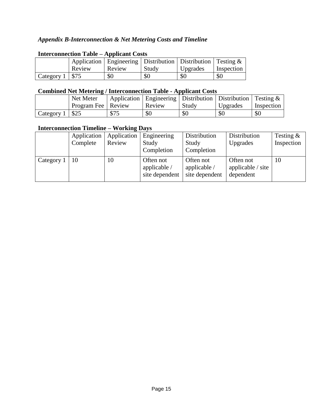#### <span id="page-14-0"></span>*Appendix B-Interconnection & Net Metering Costs and Timeline*

| THUR COMMUNISM THUND  |        |                                                                        |       |          |            |  |
|-----------------------|--------|------------------------------------------------------------------------|-------|----------|------------|--|
|                       |        | Application   Engineering   Distribution   Distribution   Testing $\&$ |       |          |            |  |
|                       | Review | Review                                                                 | Study | Upgrades | Inspection |  |
| Category $1 \mid $75$ |        | \$0                                                                    | \$0   | \$0      | \$0        |  |

#### **Interconnection Table – Applicant Costs**

#### **Combined Net Metering / Interconnection Table - Applicant Costs**

|            | Net Meter            |      | Application   Engineering   Distribution   Distribution   Testing $\&$ |       |          |            |
|------------|----------------------|------|------------------------------------------------------------------------|-------|----------|------------|
|            | Program Fee   Review |      | Review                                                                 | Study | Upgrades | Inspection |
| Category 1 | \$25                 | \$75 | \$0                                                                    | \$0   | \$0      | \$0        |

#### **Interconnection Timeline – Working Days**

|            | Application<br>Complete | Application<br>Review | Engineering<br>Study<br>Completion          | Distribution<br>Study<br>Completion         | Distribution<br>Upgrades                           | Testing $\&$<br>Inspection |
|------------|-------------------------|-----------------------|---------------------------------------------|---------------------------------------------|----------------------------------------------------|----------------------------|
| Category 1 | -10                     | 10                    | Often not<br>applicable /<br>site dependent | Often not<br>applicable /<br>site dependent | Often not<br>applicable $\prime$ site<br>dependent | 10                         |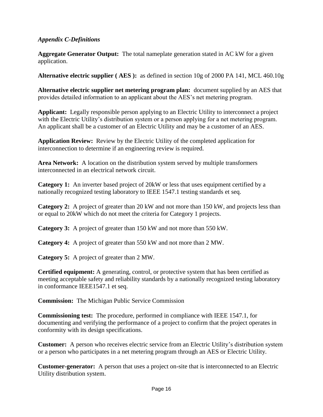#### <span id="page-15-0"></span>*Appendix C-Definitions*

**Aggregate Generator Output:** The total nameplate generation stated in AC kW for a given application.

**Alternative electric supplier ( AES ):** as defined in section 10g of 2000 PA 141, MCL 460.10g

**Alternative electric supplier net metering program plan:** document supplied by an AES that provides detailed information to an applicant about the AES's net metering program.

**Applicant:** Legally responsible person applying to an Electric Utility to interconnect a project with the Electric Utility's distribution system or a person applying for a net metering program. An applicant shall be a customer of an Electric Utility and may be a customer of an AES.

**Application Review:** Review by the Electric Utility of the completed application for interconnection to determine if an engineering review is required.

**Area Network:** A location on the distribution system served by multiple transformers interconnected in an electrical network circuit.

**Category 1:** An inverter based project of 20kW or less that uses equipment certified by a nationally recognized testing laboratory to IEEE 1547.1 testing standards et seq.

**Category 2:** A project of greater than 20 kW and not more than 150 kW, and projects less than or equal to 20kW which do not meet the criteria for Category 1 projects.

**Category 3:** A project of greater than 150 kW and not more than 550 kW.

**Category 4:** A project of greater than 550 kW and not more than 2 MW.

**Category 5:** A project of greater than 2 MW.

**Certified equipment:** A generating, control, or protective system that has been certified as meeting acceptable safety and reliability standards by a nationally recognized testing laboratory in conformance IEEE1547.1 et seq.

**Commission:** The Michigan Public Service Commission

**Commissioning test:** The procedure, performed in compliance with IEEE 1547.1, for documenting and verifying the performance of a project to confirm that the project operates in conformity with its design specifications.

**Customer:** A person who receives electric service from an Electric Utility's distribution system or a person who participates in a net metering program through an AES or Electric Utility.

**Customer-generator:** A person that uses a project on-site that is interconnected to an Electric Utility distribution system.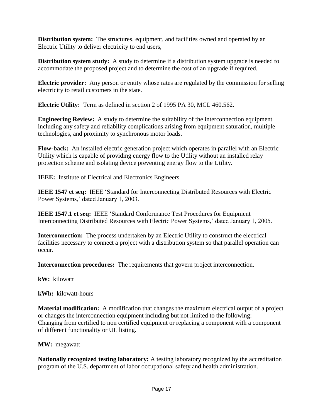**Distribution system:** The structures, equipment, and facilities owned and operated by an Electric Utility to deliver electricity to end users,

**Distribution system study:** A study to determine if a distribution system upgrade is needed to accommodate the proposed project and to determine the cost of an upgrade if required.

**Electric provider:** Any person or entity whose rates are regulated by the commission for selling electricity to retail customers in the state.

**Electric Utility:** Term as defined in section 2 of 1995 PA 30, MCL 460.562.

**Engineering Review:** A study to determine the suitability of the interconnection equipment including any safety and reliability complications arising from equipment saturation, multiple technologies, and proximity to synchronous motor loads.

**Flow-back:** An installed electric generation project which operates in parallel with an Electric Utility which is capable of providing energy flow to the Utility without an installed relay protection scheme and isolating device preventing energy flow to the Utility.

**IEEE:** Institute of Electrical and Electronics Engineers

**IEEE 1547 et seq:** IEEE 'Standard for Interconnecting Distributed Resources with Electric Power Systems,' dated January 1, 2003.

**IEEE 1547.1 et seq:** IEEE 'Standard Conformance Test Procedures for Equipment Interconnecting Distributed Resources with Electric Power Systems,' dated January 1, 2005.

**Interconnection:** The process undertaken by an Electric Utility to construct the electrical facilities necessary to connect a project with a distribution system so that parallel operation can occur.

**Interconnection procedures:** The requirements that govern project interconnection.

**kW:** kilowatt

**kWh:** kilowatt-hours

**Material modification:** A modification that changes the maximum electrical output of a project or changes the interconnection equipment including but not limited to the following: Changing from certified to non certified equipment or replacing a component with a component of different functionality or UL listing.

**MW:** megawatt

**Nationally recognized testing laboratory:** A testing laboratory recognized by the accreditation program of the U.S. department of labor occupational safety and health administration.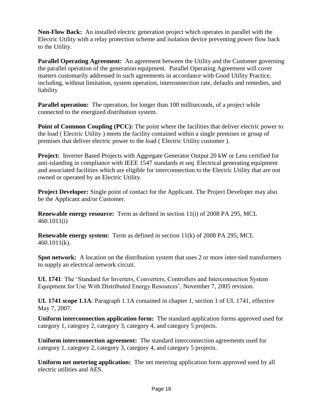**Non-Flow Back:** An installed electric generation project which operates in parallel with the Electric Utility with a relay protection scheme and isolation device preventing power flow back to the Utility.

**Parallel Operating Agreement:** An agreement between the Utility and the Customer governing the parallel operation of the generation equipment. Parallel Operating Agreement will cover matters customarily addressed in such agreements in accordance with Good Utility Practice, including, without limitation, system operation, interconnection rate, defaults and remedies, and liability

**Parallel operation:** The operation, for longer than 100 milliseconds, of a project while connected to the energized distribution system.

**Point of Common Coupling (PCC):** The point where the facilities that deliver electric power to the load ( Electric Utility ) meets the facility contained within a single premises or group of premises that deliver electric power to the load ( Electric Utility customer ).

**Project:** Inverter Based Projects with Aggregate Generator Output 20 kW or Less certified for anti-islanding in compliance with IEEE 1547 standards et seq Electrical generating equipment and associated facilities which are eligible for interconnection to the Electric Utility that are not owned or operated by an Electric Utility.

**Project Developer:** Single point of contact for the Applicant. The Project Developer may also be the Applicant and/or Customer.

**Renewable energy resource:** Term as defined in section 11(i) of 2008 PA 295, MCL 460.1011(i)

**Renewable energy system:** Term as defined in section 11(k) of 2008 PA 295, MCL 460.1011(k).

**Spot network:** A location on the distribution system that uses 2 or more inter-tied transformers to supply an electrical network circuit.

**UL 1741**: The 'Standard for Inverters, Converters, Controllers and Interconnection System Equipment for Use With Distributed Energy Resources', November 7, 2005 revision.

**UL 1741 scope 1.1A**: Paragraph 1.1A contained in chapter 1, section 1 of UL 1741, effective May 7, 2007.

**Uniform interconnection application form:** The standard application forms approved used for category 1, category 2, category 3, category 4, and category 5 projects.

**Uniform interconnection agreement:** The standard interconnection agreements used for category 1, category 2, category 3, category 4, and category 5 projects.

**Uniform net metering application:** The net metering application form approved used by all electric utilities and AES.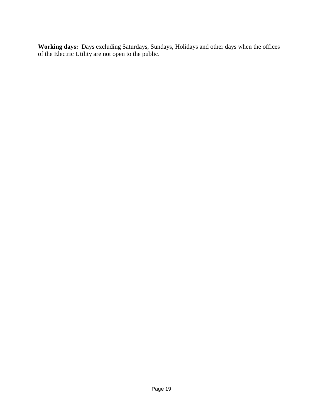**Working days:** Days excluding Saturdays, Sundays, Holidays and other days when the offices of the Electric Utility are not open to the public.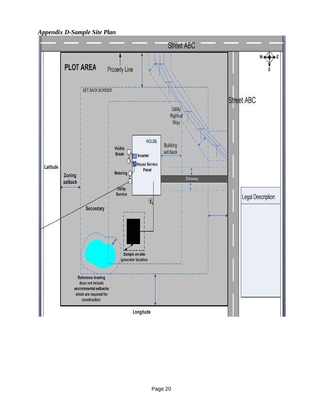<span id="page-19-0"></span>*Appendix D-Sample Site Plan* 

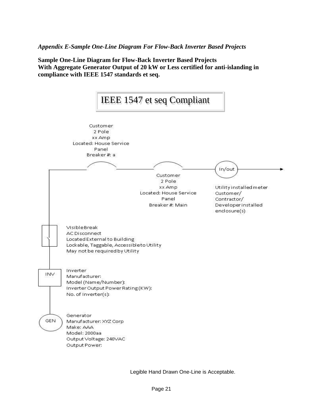<span id="page-20-0"></span>*Appendix E-Sample One-Line Diagram For Flow-Back Inverter Based Projects*

**Sample One-Line Diagram for Flow-Back Inverter Based Projects With Aggregate Generator Output of 20 kW or Less certified for anti-islanding in compliance with IEEE 1547 standards et seq.**



<span id="page-20-1"></span>Legible Hand Drawn One-Line is Acceptable.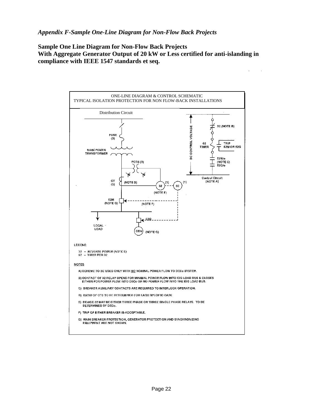**Sample One Line Diagram for Non-Flow Back Projects With Aggregate Generator Output of 20 kW or Less certified for anti-islanding in compliance with IEEE 1547 standards et seq.**

 $\hat{\boldsymbol{\beta}}$ 

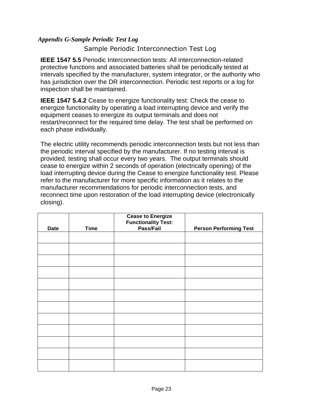#### <span id="page-22-0"></span>*Appendix G-Sample Periodic Test Log*

Sample Periodic Interconnection Test Log

**IEEE 1547 5.5** Periodic Interconnection tests: All interconnection-related protective functions and associated batteries shall be periodically tested at intervals specified by the manufacturer, system integrator, or the authority who has jurisdiction over the DR interconnection. Periodic test reports or a log for inspection shall be maintained.

**IEEE 1547 5.4.2** Cease to energize functionality test: Check the cease to energize functionality by operating a load interrupting device and verify the equipment ceases to energize its output terminals and does not restart/reconnect for the required time delay. The test shall be performed on each phase individually.

The electric utility recommends periodic interconnection tests but not less than the periodic interval specified by the manufacturer. If no testing interval is provided, testing shall occur every two years. The output terminals should cease to energize within 2 seconds of operation (electrically opening) of the load interrupting device during the Cease to energize functionality test. Please refer to the manufacturer for more specific information as it relates to the manufacturer recommendations for periodic interconnection tests, and reconnect time upon restoration of the load interrupting device (electronically closing).

| <b>Date</b> | <b>Time</b> | <b>Cease to Energize</b><br><b>Functionality Test:</b><br>Pass/Fail | <b>Person Performing Test</b> |
|-------------|-------------|---------------------------------------------------------------------|-------------------------------|
|             |             |                                                                     |                               |
|             |             |                                                                     |                               |
|             |             |                                                                     |                               |
|             |             |                                                                     |                               |
|             |             |                                                                     |                               |
|             |             |                                                                     |                               |
|             |             |                                                                     |                               |
|             |             |                                                                     |                               |
|             |             |                                                                     |                               |
|             |             |                                                                     |                               |
|             |             |                                                                     |                               |
|             |             |                                                                     |                               |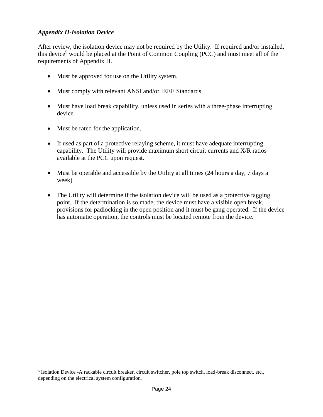#### <span id="page-23-0"></span>*Appendix H-Isolation Device*

After review, the isolation device may not be required by the Utility. If required and/or installed, this device<sup>5</sup> would be placed at the Point of Common Coupling (PCC) and must meet all of the requirements of Appendix H.

- Must be approved for use on the Utility system.
- Must comply with relevant ANSI and/or IEEE Standards.
- Must have load break capability, unless used in series with a three-phase interrupting device.
- Must be rated for the application.

 $\overline{a}$ 

- If used as part of a protective relaying scheme, it must have adequate interrupting capability. The Utility will provide maximum short circuit currents and X/R ratios available at the PCC upon request.
- Must be operable and accessible by the Utility at all times (24 hours a day, 7 days a week)
- The Utility will determine if the isolation device will be used as a protective tagging point. If the determination is so made, the device must have a visible open break, provisions for padlocking in the open position and it must be gang operated. If the device has automatic operation, the controls must be located remote from the device.

<sup>&</sup>lt;sup>5</sup> Isolation Device -A rackable circuit breaker, circuit switcher, pole top switch, load-break disconnect, etc., depending on the electrical system configuration.